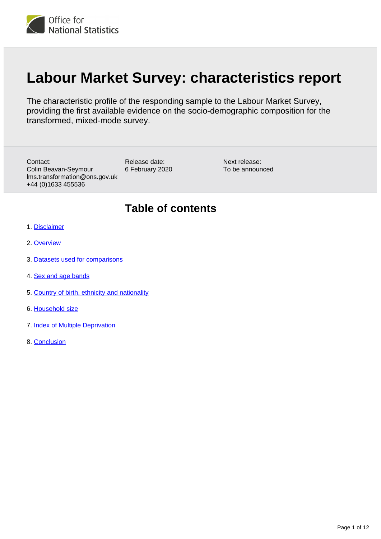

# **Labour Market Survey: characteristics report**

The characteristic profile of the responding sample to the Labour Market Survey, providing the first available evidence on the socio-demographic composition for the transformed, mixed-mode survey.

Contact: Colin Beavan-Seymour lms.transformation@ons.gov.uk +44 (0)1633 455536

Release date: 6 February 2020

Next release: To be announced

### **Table of contents**

- 1. [Disclaimer](#page-1-0)
- 2. [Overview](#page-1-1)
- 3. [Datasets used for comparisons](#page-1-2)
- 4. [Sex and age bands](#page-2-0)
- 5. [Country of birth, ethnicity and nationality](#page-5-0)
- 6. [Household size](#page-7-0)
- 7. [Index of Multiple Deprivation](#page-8-0)
- 8. [Conclusion](#page-11-0)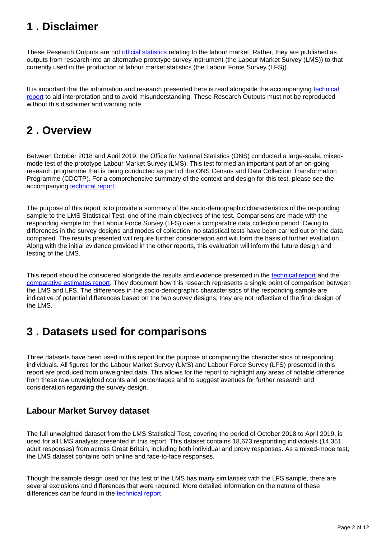# <span id="page-1-0"></span>**1 . Disclaimer**

These Research Outputs are not [official statistics](https://www.statisticsauthority.gov.uk/about-the-authority/uk-statistical-system/types-of-official-statistics/) relating to the labour market. Rather, they are published as outputs from research into an alternative prototype survey instrument (the Labour Market Survey (LMS)) to that currently used in the production of labour market statistics (the Labour Force Survey (LFS)).

It is important that the information and research presented here is read alongside the accompanying [technical](https://www.ons.gov.uk/employmentandlabourmarket/peopleinwork/employmentandemployeetypes/methodologies/labourmarketsurveytechnicalreport)  [report](https://www.ons.gov.uk/employmentandlabourmarket/peopleinwork/employmentandemployeetypes/methodologies/labourmarketsurveytechnicalreport) to aid interpretation and to avoid misunderstanding. These Research Outputs must not be reproduced without this disclaimer and warning note.

### <span id="page-1-1"></span>**2 . Overview**

Between October 2018 and April 2019, the Office for National Statistics (ONS) conducted a large-scale, mixedmode test of the prototype Labour Market Survey (LMS). This test formed an important part of an on-going research programme that is being conducted as part of the ONS Census and Data Collection Transformation Programme (CDCTP). For a comprehensive summary of the context and design for this test, please see the accompanying [technical report.](https://www.ons.gov.uk/employmentandlabourmarket/peopleinwork/employmentandemployeetypes/methodologies/labourmarketsurveytechnicalreport)

The purpose of this report is to provide a summary of the socio-demographic characteristics of the responding sample to the LMS Statistical Test, one of the main objectives of the test. Comparisons are made with the responding sample for the Labour Force Survey (LFS) over a comparable data collection period. Owing to differences in the survey designs and modes of collection, no statistical tests have been carried out on the data compared. The results presented will require further consideration and will form the basis of further evaluation. Along with the initial evidence provided in the other reports, this evaluation will inform the future design and testing of the LMS.

This report should be considered alongside the results and evidence presented in the [technical report](https://www.ons.gov.uk/employmentandlabourmarket/peopleinwork/employmentandemployeetypes/methodologies/labourmarketsurveytechnicalreport) and the [comparative estimates report.](https://www.ons.gov.uk/employmentandlabourmarket/peopleinwork/employmentandemployeetypes/methodologies/labourmarketsurveycomparativeestimatesreport) They document how this research represents a single point of comparison between the LMS and LFS. The differences in the socio-demographic characteristics of the responding sample are indicative of potential differences based on the two survey designs; they are not reflective of the final design of the LMS.

# <span id="page-1-2"></span>**3 . Datasets used for comparisons**

Three datasets have been used in this report for the purpose of comparing the characteristics of responding individuals. All figures for the Labour Market Survey (LMS) and Labour Force Survey (LFS) presented in this report are produced from unweighted data. This allows for the report to highlight any areas of notable difference from these raw unweighted counts and percentages and to suggest avenues for further research and consideration regarding the survey design.

### **Labour Market Survey dataset**

The full unweighted dataset from the LMS Statistical Test, covering the period of October 2018 to April 2019, is used for all LMS analysis presented in this report. This dataset contains 18,673 responding individuals (14,351 adult responses) from across Great Britain, including both individual and proxy responses. As a mixed-mode test, the LMS dataset contains both online and face-to-face responses.

Though the sample design used for this test of the LMS has many similarities with the LFS sample, there are several exclusions and differences that were required. More detailed information on the nature of these differences can be found in the [technical report.](https://www.ons.gov.uk/employmentandlabourmarket/peopleinwork/employmentandemployeetypes/methodologies/labourmarketsurveytechnicalreport)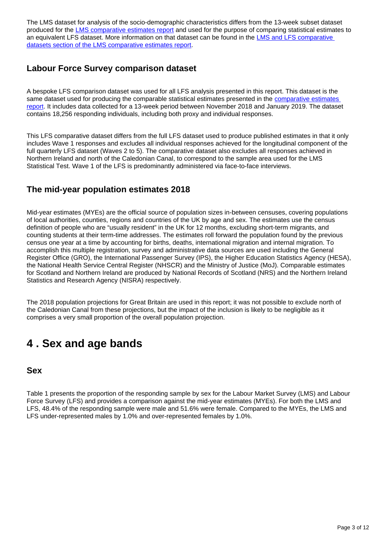The LMS dataset for analysis of the socio-demographic characteristics differs from the 13-week subset dataset produced for the [LMS comparative estimates report](https://www.ons.gov.uk/employmentandlabourmarket/peopleinwork/employmentandemployeetypes/methodologies/labourmarketsurveycomparativeestimatesreport) and used for the purpose of comparing statistical estimates to an equivalent LFS dataset. More information on that dataset can be found in the LMS and LFS comparative [datasets section of the LMS comparative estimates report](https://www.ons.gov.uk/employmentandlabourmarket/peopleinwork/employmentandemployeetypes/methodologies/labourmarketsurveycomparativeestimatesreport#lms-and-lfs-comparative-datasets).

### **Labour Force Survey comparison dataset**

A bespoke LFS comparison dataset was used for all LFS analysis presented in this report. This dataset is the same dataset used for producing the comparable statistical estimates presented in the [comparative estimates](https://www.ons.gov.uk/employmentandlabourmarket/peopleinwork/employmentandemployeetypes/methodologies/labourmarketsurveycomparativeestimatesreport)  [report](https://www.ons.gov.uk/employmentandlabourmarket/peopleinwork/employmentandemployeetypes/methodologies/labourmarketsurveycomparativeestimatesreport). It includes data collected for a 13-week period between November 2018 and January 2019. The dataset contains 18,256 responding individuals, including both proxy and individual responses.

This LFS comparative dataset differs from the full LFS dataset used to produce published estimates in that it only includes Wave 1 responses and excludes all individual responses achieved for the longitudinal component of the full quarterly LFS dataset (Waves 2 to 5). The comparative dataset also excludes all responses achieved in Northern Ireland and north of the Caledonian Canal, to correspond to the sample area used for the LMS Statistical Test. Wave 1 of the LFS is predominantly administered via face-to-face interviews.

### **The mid-year population estimates 2018**

Mid-year estimates (MYEs) are the official source of population sizes in-between censuses, covering populations of local authorities, counties, regions and countries of the UK by age and sex. The estimates use the census definition of people who are "usually resident" in the UK for 12 months, excluding short-term migrants, and counting students at their term-time addresses. The estimates roll forward the population found by the previous census one year at a time by accounting for births, deaths, international migration and internal migration. To accomplish this multiple registration, survey and administrative data sources are used including the General Register Office (GRO), the International Passenger Survey (IPS), the Higher Education Statistics Agency (HESA), the National Health Service Central Register (NHSCR) and the Ministry of Justice (MoJ). Comparable estimates for Scotland and Northern Ireland are produced by National Records of Scotland (NRS) and the Northern Ireland Statistics and Research Agency (NISRA) respectively.

The 2018 population projections for Great Britain are used in this report; it was not possible to exclude north of the Caledonian Canal from these projections, but the impact of the inclusion is likely to be negligible as it comprises a very small proportion of the overall population projection.

# <span id="page-2-0"></span>**4 . Sex and age bands**

#### **Sex**

Table 1 presents the proportion of the responding sample by sex for the Labour Market Survey (LMS) and Labour Force Survey (LFS) and provides a comparison against the mid-year estimates (MYEs). For both the LMS and LFS, 48.4% of the responding sample were male and 51.6% were female. Compared to the MYEs, the LMS and LFS under-represented males by 1.0% and over-represented females by 1.0%.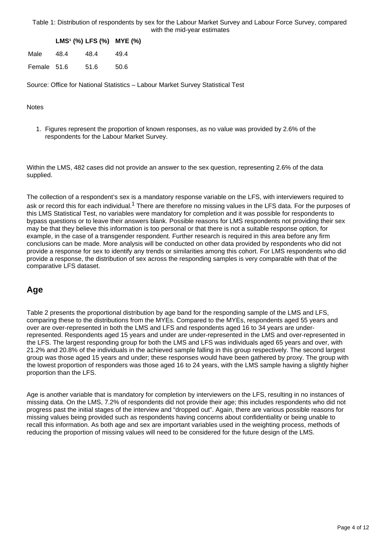Table 1: Distribution of respondents by sex for the Labour Market Survey and Labour Force Survey, compared with the mid-year estimates

**LMS¹ (%) LFS (%) MYE (%)**

| Male        | 48.4 | 48.4 | 49.4 |
|-------------|------|------|------|
| Female 51.6 |      | 51.6 | 50.6 |

Source: Office for National Statistics – Labour Market Survey Statistical Test

#### Notes

1. Figures represent the proportion of known responses, as no value was provided by 2.6% of the respondents for the Labour Market Survey.

Within the LMS, 482 cases did not provide an answer to the sex question, representing 2.6% of the data supplied.

The collection of a respondent's sex is a mandatory response variable on the LFS, with interviewers required to ask or record this for each individual.<sup>1</sup> There are therefore no missing values in the LFS data. For the purposes of this LMS Statistical Test, no variables were mandatory for completion and it was possible for respondents to bypass questions or to leave their answers blank. Possible reasons for LMS respondents not providing their sex may be that they believe this information is too personal or that there is not a suitable response option, for example, in the case of a transgender respondent. Further research is required in this area before any firm conclusions can be made. More analysis will be conducted on other data provided by respondents who did not provide a response for sex to identify any trends or similarities among this cohort. For LMS respondents who did provide a response, the distribution of sex across the responding samples is very comparable with that of the comparative LFS dataset.

#### **Age**

Table 2 presents the proportional distribution by age band for the responding sample of the LMS and LFS, comparing these to the distributions from the MYEs. Compared to the MYEs, respondents aged 55 years and over are over-represented in both the LMS and LFS and respondents aged 16 to 34 years are underrepresented. Respondents aged 15 years and under are under-represented in the LMS and over-represented in the LFS. The largest responding group for both the LMS and LFS was individuals aged 65 years and over, with 21.2% and 20.8% of the individuals in the achieved sample falling in this group respectively. The second largest group was those aged 15 years and under; these responses would have been gathered by proxy. The group with the lowest proportion of responders was those aged 16 to 24 years, with the LMS sample having a slightly higher proportion than the LFS.

Age is another variable that is mandatory for completion by interviewers on the LFS, resulting in no instances of missing data. On the LMS, 7.2% of respondents did not provide their age; this includes respondents who did not progress past the initial stages of the interview and "dropped out". Again, there are various possible reasons for missing values being provided such as respondents having concerns about confidentiality or being unable to recall this information. As both age and sex are important variables used in the weighting process, methods of reducing the proportion of missing values will need to be considered for the future design of the LMS.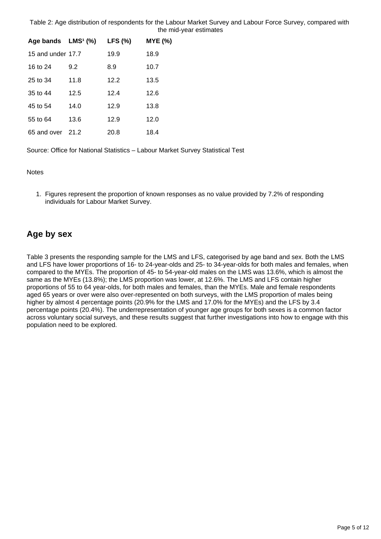Table 2: Age distribution of respondents for the Labour Market Survey and Labour Force Survey, compared with the mid-year estimates

| Age bands $LMS1(%)$ |      | <b>LFS (%)</b> | MYE(%) |
|---------------------|------|----------------|--------|
| 15 and under 17.7   |      | 19.9           | 18.9   |
| 16 to 24            | 9.2  | 8.9            | 10.7   |
| 25 to 34            | 11.8 | 12.2           | 13.5   |
| $35$ to $44$        | 12.5 | 12.4           | 12.6   |
| 45 to 54            | 14.0 | 12.9           | 13.8   |
| 55 to 64            | 13.6 | 12.9           | 12.0   |
| 65 and over 21.2    |      | 20.8           | 18.4   |

Source: Office for National Statistics – Labour Market Survey Statistical Test

**Notes** 

1. Figures represent the proportion of known responses as no value provided by 7.2% of responding individuals for Labour Market Survey.

### **Age by sex**

Table 3 presents the responding sample for the LMS and LFS, categorised by age band and sex. Both the LMS and LFS have lower proportions of 16- to 24-year-olds and 25- to 34-year-olds for both males and females, when compared to the MYEs. The proportion of 45- to 54-year-old males on the LMS was 13.6%, which is almost the same as the MYEs (13.8%); the LMS proportion was lower, at 12.6%. The LMS and LFS contain higher proportions of 55 to 64 year-olds, for both males and females, than the MYEs. Male and female respondents aged 65 years or over were also over-represented on both surveys, with the LMS proportion of males being higher by almost 4 percentage points (20.9% for the LMS and 17.0% for the MYEs) and the LFS by 3.4 percentage points (20.4%). The underrepresentation of younger age groups for both sexes is a common factor across voluntary social surveys, and these results suggest that further investigations into how to engage with this population need to be explored.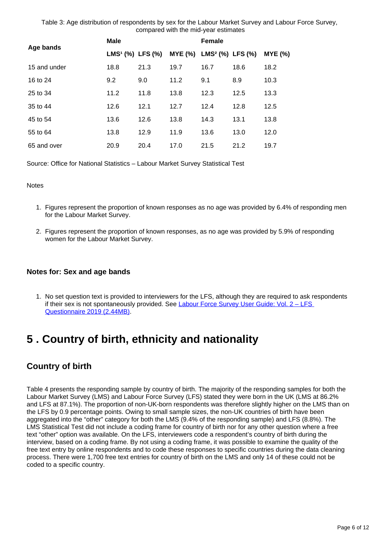Table 3: Age distribution of respondents by sex for the Labour Market Survey and Labour Force Survey, compared with the mid-year estimates

| Age bands    | Male                         |      | <b>Female</b>  |                              |      |                |
|--------------|------------------------------|------|----------------|------------------------------|------|----------------|
|              | LMS <sup>1</sup> (%) LFS (%) |      | <b>MYE (%)</b> | LMS <sup>2</sup> (%) LFS (%) |      | <b>MYE (%)</b> |
| 15 and under | 18.8                         | 21.3 | 19.7           | 16.7                         | 18.6 | 18.2           |
| 16 to 24     | 9.2                          | 9.0  | 11.2           | 9.1                          | 8.9  | 10.3           |
| 25 to 34     | 11.2                         | 11.8 | 13.8           | 12.3                         | 12.5 | 13.3           |
| 35 to 44     | 12.6                         | 12.1 | 12.7           | 12.4                         | 12.8 | 12.5           |
| 45 to 54     | 13.6                         | 12.6 | 13.8           | 14.3                         | 13.1 | 13.8           |
| 55 to 64     | 13.8                         | 12.9 | 11.9           | 13.6                         | 13.0 | 12.0           |
| 65 and over  | 20.9                         | 20.4 | 17.0           | 21.5                         | 21.2 | 19.7           |

Source: Office for National Statistics – Labour Market Survey Statistical Test

**Notes** 

- 1. Figures represent the proportion of known responses as no age was provided by 6.4% of responding men for the Labour Market Survey.
- 2. Figures represent the proportion of known responses, as no age was provided by 5.9% of responding women for the Labour Market Survey.

#### **Notes for: Sex and age bands**

1. No set question text is provided to interviewers for the LFS, although they are required to ask respondents if their sex is not spontaneously provided. See Labour Force Survey User Guide: Vol. 2 - LFS [Questionnaire 2019 \(2.44MB\).](https://www.ons.gov.uk/file?uri=/employmentandlabourmarket/peopleinwork/employmentandemployeetypes/methodologies/labourforcesurveyuserguidance/vol2js19final.pdf)

# <span id="page-5-0"></span>**5 . Country of birth, ethnicity and nationality**

### **Country of birth**

Table 4 presents the responding sample by country of birth. The majority of the responding samples for both the Labour Market Survey (LMS) and Labour Force Survey (LFS) stated they were born in the UK (LMS at 86.2% and LFS at 87.1%). The proportion of non-UK-born respondents was therefore slightly higher on the LMS than on the LFS by 0.9 percentage points. Owing to small sample sizes, the non-UK countries of birth have been aggregated into the "other" category for both the LMS (9.4% of the responding sample) and LFS (8.8%). The LMS Statistical Test did not include a coding frame for country of birth nor for any other question where a free text "other" option was available. On the LFS, interviewers code a respondent's country of birth during the interview, based on a coding frame. By not using a coding frame, it was possible to examine the quality of the free text entry by online respondents and to code these responses to specific countries during the data cleaning process. There were 1,700 free text entries for country of birth on the LMS and only 14 of these could not be coded to a specific country.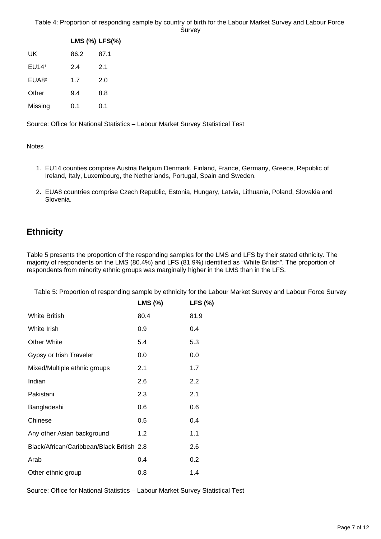|                   | LMS (%) LFS(%) |      |
|-------------------|----------------|------|
| UK                | 86.2           | 87.1 |
| EU14 <sup>1</sup> | 2.4            | 2.1  |
| EUA8 <sup>2</sup> | 1.7            | 2.0  |
| Other             | 9.4            | 8.8  |
| Missing           | 0.1            | 0.1  |

Source: Office for National Statistics – Labour Market Survey Statistical Test

**Notes** 

- 1. EU14 counties comprise Austria Belgium Denmark, Finland, France, Germany, Greece, Republic of Ireland, Italy, Luxembourg, the Netherlands, Portugal, Spain and Sweden.
- 2. EUA8 countries comprise Czech Republic, Estonia, Hungary, Latvia, Lithuania, Poland, Slovakia and Slovenia.

### **Ethnicity**

Table 5 presents the proportion of the responding samples for the LMS and LFS by their stated ethnicity. The majority of respondents on the LMS (80.4%) and LFS (81.9%) identified as "White British". The proportion of respondents from minority ethnic groups was marginally higher in the LMS than in the LFS.

Table 5: Proportion of responding sample by ethnicity for the Labour Market Survey and Labour Force Survey

|                                           | LMS (%) | LFS (%) |
|-------------------------------------------|---------|---------|
| <b>White British</b>                      | 80.4    | 81.9    |
| White Irish                               | 0.9     | 0.4     |
| Other White                               | 5.4     | 5.3     |
| Gypsy or Irish Traveler                   | 0.0     | 0.0     |
| Mixed/Multiple ethnic groups              | 2.1     | 1.7     |
| Indian                                    | 2.6     | 2.2     |
| Pakistani                                 | 2.3     | 2.1     |
| Bangladeshi                               | 0.6     | 0.6     |
| Chinese                                   | 0.5     | 0.4     |
| Any other Asian background                | 1.2     | 1.1     |
| Black/African/Caribbean/Black British 2.8 |         | 2.6     |
| Arab                                      | 0.4     | 0.2     |
| Other ethnic group                        | 0.8     | 1.4     |

Source: Office for National Statistics – Labour Market Survey Statistical Test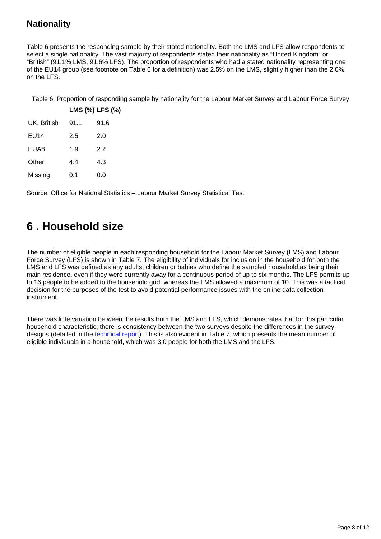### **Nationality**

Table 6 presents the responding sample by their stated nationality. Both the LMS and LFS allow respondents to select a single nationality. The vast majority of respondents stated their nationality as "United Kingdom" or "British" (91.1% LMS, 91.6% LFS). The proportion of respondents who had a stated nationality representing one of the EU14 group (see footnote on Table 6 for a definition) was 2.5% on the LMS, slightly higher than the 2.0% on the LFS.

Table 6: Proportion of responding sample by nationality for the Labour Market Survey and Labour Force Survey

|                  |      | LMS (%) LFS (%) |
|------------------|------|-----------------|
| UK, British      | 91.1 | 91.6            |
| <b>EU14</b>      | 2.5  | 2.0             |
| EUA <sub>8</sub> | 1.9  | 2.2             |
| Other            | 4.4  | 4.3             |
| Missing          | 0.1  | 0.0             |

Source: Office for National Statistics – Labour Market Survey Statistical Test

# <span id="page-7-0"></span>**6 . Household size**

The number of eligible people in each responding household for the Labour Market Survey (LMS) and Labour Force Survey (LFS) is shown in Table 7. The eligibility of individuals for inclusion in the household for both the LMS and LFS was defined as any adults, children or babies who define the sampled household as being their main residence, even if they were currently away for a continuous period of up to six months. The LFS permits up to 16 people to be added to the household grid, whereas the LMS allowed a maximum of 10. This was a tactical decision for the purposes of the test to avoid potential performance issues with the online data collection instrument.

There was little variation between the results from the LMS and LFS, which demonstrates that for this particular household characteristic, there is consistency between the two surveys despite the differences in the survey designs (detailed in the [technical report](https://www.ons.gov.uk/employmentandlabourmarket/peopleinwork/employmentandemployeetypes/methodologies/labourmarketsurveytechnicalreport)). This is also evident in Table 7, which presents the mean number of eligible individuals in a household, which was 3.0 people for both the LMS and the LFS.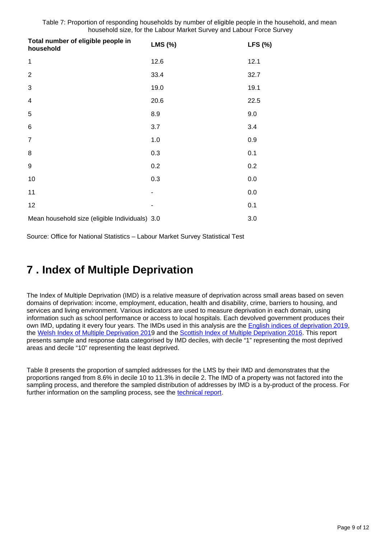Table 7: Proportion of responding households by number of eligible people in the household, and mean household size, for the Labour Market Survey and Labour Force Survey

| Total number of eligible people in<br>household | LMS (%) | LFS (%) |
|-------------------------------------------------|---------|---------|
| $\mathbf{1}$                                    | 12.6    | 12.1    |
| $\overline{2}$                                  | 33.4    | 32.7    |
| 3                                               | 19.0    | 19.1    |
| $\overline{\mathbf{4}}$                         | 20.6    | 22.5    |
| 5                                               | 8.9     | 9.0     |
| 6                                               | 3.7     | 3.4     |
| $\overline{7}$                                  | 1.0     | 0.9     |
| 8                                               | 0.3     | 0.1     |
| 9                                               | 0.2     | 0.2     |
| 10                                              | 0.3     | 0.0     |
| 11                                              |         | 0.0     |
| 12                                              | ۰       | 0.1     |
| Mean household size (eligible Individuals) 3.0  |         | 3.0     |

Source: Office for National Statistics – Labour Market Survey Statistical Test

## <span id="page-8-0"></span>**7 . Index of Multiple Deprivation**

The Index of Multiple Deprivation (IMD) is a relative measure of deprivation across small areas based on seven domains of deprivation: income, employment, education, health and disability, crime, barriers to housing, and services and living environment. Various indicators are used to measure deprivation in each domain, using information such as school performance or access to local hospitals. Each devolved government produces their own IMD, updating it every four years. The IMDs used in this analysis are the **English indices of deprivation 2019**, the [Welsh Index of Multiple Deprivation 201](https://gov.wales/welsh-index-multiple-deprivation-full-index-update-ranks-2019)9 and the [Scottish Index of Multiple Deprivation 2016.](https://www2.gov.scot/Topics/Statistics/SIMD) This report presents sample and response data categorised by IMD deciles, with decile "1" representing the most deprived areas and decile "10" representing the least deprived.

Table 8 presents the proportion of sampled addresses for the LMS by their IMD and demonstrates that the proportions ranged from 8.6% in decile 10 to 11.3% in decile 2. The IMD of a property was not factored into the sampling process, and therefore the sampled distribution of addresses by IMD is a by-product of the process. For further information on the sampling process, see the [technical report](https://www.ons.gov.uk/employmentandlabourmarket/peopleinwork/employmentandemployeetypes/methodologies/labourmarketsurveytechnicalreport).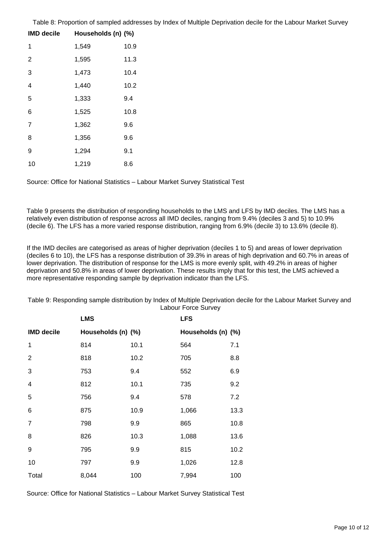Table 8: Proportion of sampled addresses by Index of Multiple Deprivation decile for the Labour Market Survey

| <b>IMD decile</b> | Households (n) (%) |      |
|-------------------|--------------------|------|
| 1                 | 1,549              | 10.9 |
| $\overline{2}$    | 1,595              | 11.3 |
| 3                 | 1,473              | 10.4 |
| 4                 | 1,440              | 10.2 |
| 5                 | 1,333              | 9.4  |
| 6                 | 1,525              | 10.8 |
| 7                 | 1,362              | 9.6  |
| 8                 | 1,356              | 9.6  |
| 9                 | 1,294              | 9.1  |
| 10                | 1,219              | 8.6  |

Source: Office for National Statistics – Labour Market Survey Statistical Test

Table 9 presents the distribution of responding households to the LMS and LFS by IMD deciles. The LMS has a relatively even distribution of response across all IMD deciles, ranging from 9.4% (deciles 3 and 5) to 10.9% (decile 6). The LFS has a more varied response distribution, ranging from 6.9% (decile 3) to 13.6% (decile 8).

If the IMD deciles are categorised as areas of higher deprivation (deciles 1 to 5) and areas of lower deprivation (deciles 6 to 10), the LFS has a response distribution of 39.3% in areas of high deprivation and 60.7% in areas of lower deprivation. The distribution of response for the LMS is more evenly split, with 49.2% in areas of higher deprivation and 50.8% in areas of lower deprivation. These results imply that for this test, the LMS achieved a more representative responding sample by deprivation indicator than the LFS.

Table 9: Responding sample distribution by Index of Multiple Deprivation decile for the Labour Market Survey and Labour Force Survey

|                   | <b>LMS</b>         |      | <b>LFS</b>         |      |
|-------------------|--------------------|------|--------------------|------|
| <b>IMD decile</b> | Households (n) (%) |      | Households (n) (%) |      |
| 1                 | 814                | 10.1 | 564                | 7.1  |
| $\overline{2}$    | 818                | 10.2 | 705                | 8.8  |
| 3                 | 753                | 9.4  | 552                | 6.9  |
| 4                 | 812                | 10.1 | 735                | 9.2  |
| 5                 | 756                | 9.4  | 578                | 7.2  |
| 6                 | 875                | 10.9 | 1,066              | 13.3 |
| $\overline{7}$    | 798                | 9.9  | 865                | 10.8 |
| 8                 | 826                | 10.3 | 1,088              | 13.6 |
| 9                 | 795                | 9.9  | 815                | 10.2 |
| 10                | 797                | 9.9  | 1,026              | 12.8 |
| Total             | 8,044              | 100  | 7,994              | 100  |

Source: Office for National Statistics – Labour Market Survey Statistical Test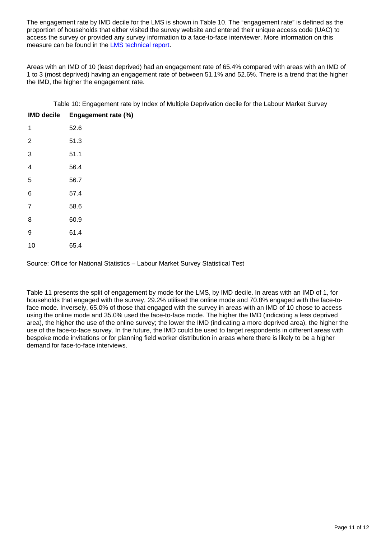The engagement rate by IMD decile for the LMS is shown in Table 10. The "engagement rate" is defined as the proportion of households that either visited the survey website and entered their unique access code (UAC) to access the survey or provided any survey information to a face-to-face interviewer. More information on this measure can be found in the [LMS technical report.](https://www.ons.gov.uk/employmentandlabourmarket/peopleinwork/employmentandemployeetypes/methodologies/labourmarketsurveytechnicalreport)

Areas with an IMD of 10 (least deprived) had an engagement rate of 65.4% compared with areas with an IMD of 1 to 3 (most deprived) having an engagement rate of between 51.1% and 52.6%. There is a trend that the higher the IMD, the higher the engagement rate.

Table 10: Engagement rate by Index of Multiple Deprivation decile for the Labour Market Survey

| <b>IMD decile</b> | Engagement rate (%) |
|-------------------|---------------------|
| 1                 | 52.6                |
| $\overline{2}$    | 51.3                |
| 3                 | 51.1                |
| $\overline{4}$    | 56.4                |
| 5                 | 56.7                |
| 6                 | 57.4                |
| $\overline{7}$    | 58.6                |
| 8                 | 60.9                |
| 9                 | 61.4                |
| 10                | 65.4                |

Source: Office for National Statistics – Labour Market Survey Statistical Test

Table 11 presents the split of engagement by mode for the LMS, by IMD decile. In areas with an IMD of 1, for households that engaged with the survey, 29.2% utilised the online mode and 70.8% engaged with the face-toface mode. Inversely, 65.0% of those that engaged with the survey in areas with an IMD of 10 chose to access using the online mode and 35.0% used the face-to-face mode. The higher the IMD (indicating a less deprived area), the higher the use of the online survey; the lower the IMD (indicating a more deprived area), the higher the use of the face-to-face survey. In the future, the IMD could be used to target respondents in different areas with bespoke mode invitations or for planning field worker distribution in areas where there is likely to be a higher demand for face-to-face interviews.